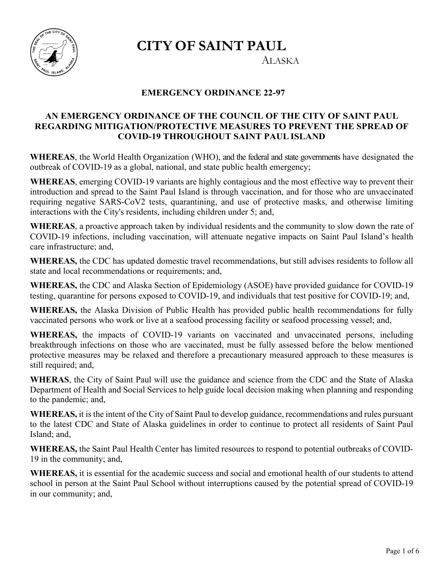**CITY OF SAINT PAUL** 



ALASKA

# **EMERGENCY ORDINANCE 22-97**

# **AN EMERGENCY ORDINANCE OF THE COUNCIL OF THE CITY OF SAINT PAUL REGARDING MITIGATION/PROTECTIVE MEASURES TO PREVENT THE SPREAD OF COVID-19 THROUGHOUT SAINT PAUL ISLAND**

**WHEREAS**, the World Health Organization (WHO), and the federal and state governments have designated the outbreak of COVID-19 as a global, national, and state public health emergency;

**WHEREAS**, emerging COVID-19 variants are highly contagious and the most effective way to prevent their introduction and spread to the Saint Paul Island is through vaccination, and for those who are unvaccinated requiring negative SARS-CoV2 tests, quarantining, and use of protective masks, and otherwise limiting interactions with the City's residents, including children under 5; and,

**WHEREAS**, a proactive approach taken by individual residents and the community to slow down the rate of COVID-19 infections, including vaccination, will attenuate negative impacts on Saint Paul Island's health care infrastructure; and,

**WHEREAS,** the CDC has updated domestic travel recommendations, but still advises residents to follow all state and local recommendations or requirements; and,

**WHEREAS,** the CDC and Alaska Section of Epidemiology (ASOE) have provided guidance for COVID-19 testing, quarantine for persons exposed to COVID-19, and individuals that test positive for COVID-19; and,

**WHEREAS,** the Alaska Division of Public Health has provided public health recommendations for fully vaccinated persons who work or live at a seafood processing facility or seafood processing vessel; and,

**WHEREAS,** the impacts of COVID-19 variants on vaccinated and unvaccinated persons, including breakthrough infections on those who are vaccinated, must be fully assessed before the below mentioned protective measures may be relaxed and therefore a precautionary measured approach to these measures is still required; and,

**WHERAS**, the City of Saint Paul will use the guidance and science from the CDC and the State of Alaska Department of Health and Social Services to help guide local decision making when planning and responding to the pandemic; and,

**WHEREAS,** it is the intent of the City of Saint Paul to develop guidance, recommendations and rules pursuant to the latest CDC and State of Alaska guidelines in order to continue to protect all residents of Saint Paul Island; and,

**WHEREAS,** the Saint Paul Health Center has limited resources to respond to potential outbreaks of COVID-19 in the community; and,

**WHEREAS,** it is essential for the academic success and social and emotional health of our students to attend school in person at the Saint Paul School without interruptions caused by the potential spread of COVID-19 in our community; and,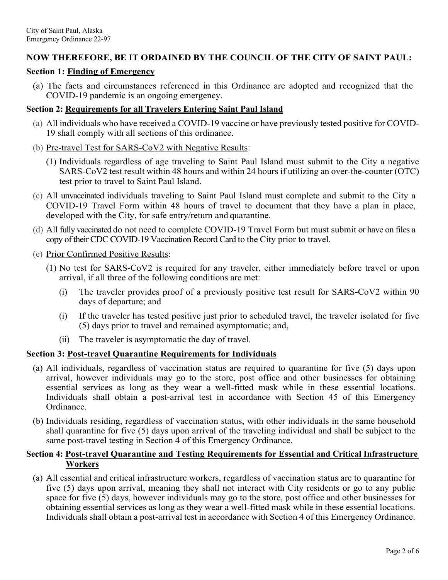# **NOW THEREFORE, BE IT ORDAINED BY THE COUNCIL OF THE CITY OF SAINT PAUL:**

## **Section 1: Finding of Emergency**

(a) The facts and circumstances referenced in this Ordinance are adopted and recognized that the COVID-19 pandemic is an ongoing emergency.

## **Section 2: Requirements for all Travelers Entering Saint Paul Island**

- (a) All individuals who have received a COVID-19 vaccine or have previously tested positive for COVID-19 shall comply with all sections of this ordinance.
- (b) Pre-travel Test for SARS-CoV2 with Negative Results:
	- (1) Individuals regardless of age traveling to Saint Paul Island must submit to the City a negative SARS-CoV2 test result within 48 hours and within 24 hours if utilizing an over-the-counter (OTC) test prior to travel to Saint Paul Island.
- (c) All unvaccinated individuals traveling to Saint Paul Island must complete and submit to the City a COVID-19 Travel Form within 48 hours of travel to document that they have a plan in place, developed with the City, for safe entry/return and quarantine.
- (d) All fully vaccinated do not need to complete COVID-19 Travel Form but must submit or have on files a copy of their CDC COVID-19 Vaccination Record Card to the City prior to travel.
- (e) Prior Confirmed Positive Results:
	- (1) No test for SARS-CoV2 is required for any traveler, either immediately before travel or upon arrival, if all three of the following conditions are met:
		- (i) The traveler provides proof of a previously positive test result for SARS-CoV2 within 90 days of departure; and
		- (i) If the traveler has tested positive just prior to scheduled travel, the traveler isolated for five (5) days prior to travel and remained asymptomatic; and,
		- (ii) The traveler is asymptomatic the day of travel.

# **Section 3: Post-travel Quarantine Requirements for Individuals**

- (a) All individuals, regardless of vaccination status are required to quarantine for five (5) days upon arrival, however individuals may go to the store, post office and other businesses for obtaining essential services as long as they wear a well-fitted mask while in these essential locations. Individuals shall obtain a post-arrival test in accordance with Section 45 of this Emergency Ordinance.
- (b) Individuals residing, regardless of vaccination status, with other individuals in the same household shall quarantine for five (5) days upon arrival of the traveling individual and shall be subject to the same post-travel testing in Section 4 of this Emergency Ordinance.

## **Section 4: Post-travel Quarantine and Testing Requirements for Essential and Critical Infrastructure Workers**

(a) All essential and critical infrastructure workers, regardless of vaccination status are to quarantine for five (5) days upon arrival, meaning they shall not interact with City residents or go to any public space for five (5) days, however individuals may go to the store, post office and other businesses for obtaining essential services as long as they wear a well-fitted mask while in these essential locations. Individuals shall obtain a post-arrival test in accordance with Section 4 of this Emergency Ordinance.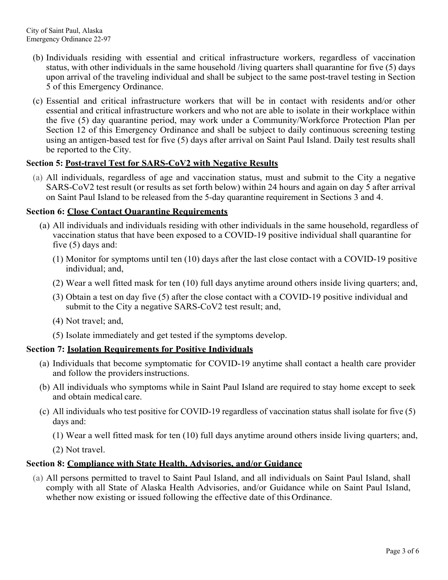- (b) Individuals residing with essential and critical infrastructure workers, regardless of vaccination status, with other individuals in the same household /living quarters shall quarantine for five (5) days upon arrival of the traveling individual and shall be subject to the same post-travel testing in Section 5 of this Emergency Ordinance.
- (c) Essential and critical infrastructure workers that will be in contact with residents and/or other essential and critical infrastructure workers and who not are able to isolate in their workplace within the five (5) day quarantine period, may work under a Community/Workforce Protection Plan per Section 12 of this Emergency Ordinance and shall be subject to daily continuous screening testing using an antigen-based test for five (5) days after arrival on Saint Paul Island. Daily test results shall be reported to the City.

# **Section 5: Post-travel Test for SARS-CoV2 with Negative Results**

(a) All individuals, regardless of age and vaccination status, must and submit to the City a negative SARS-CoV2 test result (or results as set forth below) within 24 hours and again on day 5 after arrival on Saint Paul Island to be released from the 5-day quarantine requirement in Sections 3 and 4.

# **Section 6: Close Contact Quarantine Requirements**

- (a) All individuals and individuals residing with other individuals in the same household, regardless of vaccination status that have been exposed to a COVID-19 positive individual shall quarantine for five (5) days and:
	- (1) Monitor for symptoms until ten (10) days after the last close contact with a COVID-19 positive individual; and,
	- (2) Wear a well fitted mask for ten (10) full days anytime around others inside living quarters; and,
	- (3) Obtain a test on day five (5) after the close contact with a COVID-19 positive individual and submit to the City a negative SARS-CoV2 test result; and,
	- (4) Not travel; and,
	- (5) Isolate immediately and get tested if the symptoms develop.

# **Section 7: Isolation Requirements for Positive Individuals**

- (a) Individuals that become symptomatic for COVID-19 anytime shall contact a health care provider and follow the providers instructions.
- (b) All individuals who symptoms while in Saint Paul Island are required to stay home except to seek and obtain medical care.
- (c) All individuals who test positive for COVID-19 regardless of vaccination status shall isolate for five (5) days and:
	- (1) Wear a well fitted mask for ten (10) full days anytime around others inside living quarters; and,
	- (2) Not travel.

# **Section 8: Compliance with State Health, Advisories, and/or Guidance**

(a) All persons permitted to travel to Saint Paul Island, and all individuals on Saint Paul Island, shall comply with all State of Alaska Health Advisories, and/or Guidance while on Saint Paul Island, whether now existing or issued following the effective date of this Ordinance.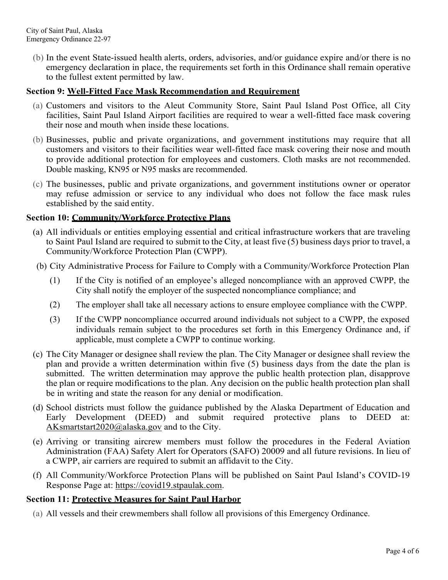(b) In the event State-issued health alerts, orders, advisories, and/or guidance expire and/or there is no emergency declaration in place, the requirements set forth in this Ordinance shall remain operative to the fullest extent permitted by law.

## **Section 9: Well-Fitted Face Mask Recommendation and Requirement**

- (a) Customers and visitors to the Aleut Community Store, Saint Paul Island Post Office, all City facilities, Saint Paul Island Airport facilities are required to wear a well-fitted face mask covering their nose and mouth when inside these locations.
- (b) Businesses, public and private organizations, and government institutions may require that all customers and visitors to their facilities wear well-fitted face mask covering their nose and mouth to provide additional protection for employees and customers. Cloth masks are not recommended. Double masking, KN95 or N95 masks are recommended.
- (c) The businesses, public and private organizations, and government institutions owner or operator may refuse admission or service to any individual who does not follow the face mask rules established by the said entity.

## **Section 10: Community/Workforce Protective Plans**

- (a) All individuals or entities employing essential and critical infrastructure workers that are traveling to Saint Paul Island are required to submit to the City, at least five (5) business days prior to travel, a Community/Workforce Protection Plan (CWPP).
- (b) City Administrative Process for Failure to Comply with a Community/Workforce Protection Plan
	- (1) If the City is notified of an employee's alleged noncompliance with an approved CWPP, the City shall notify the employer of the suspected noncompliance compliance; and
	- (2) The employer shall take all necessary actions to ensure employee compliance with the CWPP.
	- (3) If the CWPP noncompliance occurred around individuals not subject to a CWPP, the exposed individuals remain subject to the procedures set forth in this Emergency Ordinance and, if applicable, must complete a CWPP to continue working.
- (c) The City Manager or designee shall review the plan. The City Manager or designee shall review the plan and provide a written determination within five (5) business days from the date the plan is submitted. The written determination may approve the public health protection plan, disapprove the plan or require modifications to the plan. Any decision on the public health protection plan shall be in writing and state the reason for any denial or modification.
- (d) School districts must follow the guidance published by the Alaska Department of Education and Early Development (DEED) and submit required protective plans to DEED at: AKsmartstart2020@alaska.gov and to the City.
- (e) Arriving or transiting aircrew members must follow the procedures in the Federal Aviation Administration (FAA) Safety Alert for Operators (SAFO) 20009 and all future revisions. In lieu of a CWPP, air carriers are required to submit an affidavit to the City.
- (f) All Community/Workforce Protection Plans will be published on Saint Paul Island's COVID-19 Response Page at: https://covid19.stpaulak.com.

# **Section 11: Protective Measures for Saint Paul Harbor**

(a) All vessels and their crewmembers shall follow all provisions of this Emergency Ordinance.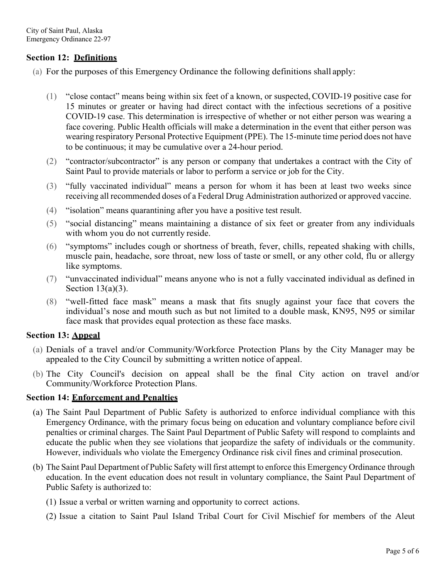## **Section 12: Definitions**

- (a) For the purposes of this Emergency Ordinance the following definitions shall apply:
	- (1) "close contact" means being within six feet of a known, or suspected, COVID-19 positive case for 15 minutes or greater or having had direct contact with the infectious secretions of a positive COVID-19 case. This determination is irrespective of whether or not either person was wearing a face covering. Public Health officials will make a determination in the event that either person was wearing respiratory Personal Protective Equipment (PPE). The 15-minute time period does not have to be continuous; it may be cumulative over a 24-hour period.
	- (2) "contractor/subcontractor" is any person or company that undertakes a contract with the City of Saint Paul to provide materials or labor to perform a service or job for the City.
	- (3) "fully vaccinated individual" means a person for whom it has been at least two weeks since receiving all recommended doses of a Federal Drug Administration authorized or approved vaccine.
	- (4) "isolation" means quarantining after you have a positive test result.
	- (5) "social distancing" means maintaining a distance of six feet or greater from any individuals with whom you do not currently reside.
	- (6) "symptoms" includes cough or shortness of breath, fever, chills, repeated shaking with chills, muscle pain, headache, sore throat, new loss of taste or smell, or any other cold, flu or allergy like symptoms.
	- (7) "unvaccinated individual" means anyone who is not a fully vaccinated individual as defined in Section  $13(a)(3)$ .
	- (8) "well-fitted face mask" means a mask that fits snugly against your face that covers the individual's nose and mouth such as but not limited to a double mask, KN95, N95 or similar face mask that provides equal protection as these face masks.

### **Section 13: Appeal**

- (a) Denials of a travel and/or Community/Workforce Protection Plans by the City Manager may be appealed to the City Council by submitting a written notice of appeal.
- (b) The City Council's decision on appeal shall be the final City action on travel and/or Community/Workforce Protection Plans.

### **Section 14: Enforcement and Penalties**

- (a) The Saint Paul Department of Public Safety is authorized to enforce individual compliance with this Emergency Ordinance, with the primary focus being on education and voluntary compliance before civil penalties or criminal charges. The Saint Paul Department of Public Safety will respond to complaints and educate the public when they see violations that jeopardize the safety of individuals or the community. However, individuals who violate the Emergency Ordinance risk civil fines and criminal prosecution.
- (b) The Saint Paul Department of Public Safety will first attempt to enforce this Emergency Ordinance through education. In the event education does not result in voluntary compliance, the Saint Paul Department of Public Safety is authorized to:
	- (1) Issue a verbal or written warning and opportunity to correct actions.
	- (2) Issue a citation to Saint Paul Island Tribal Court for Civil Mischief for members of the Aleut